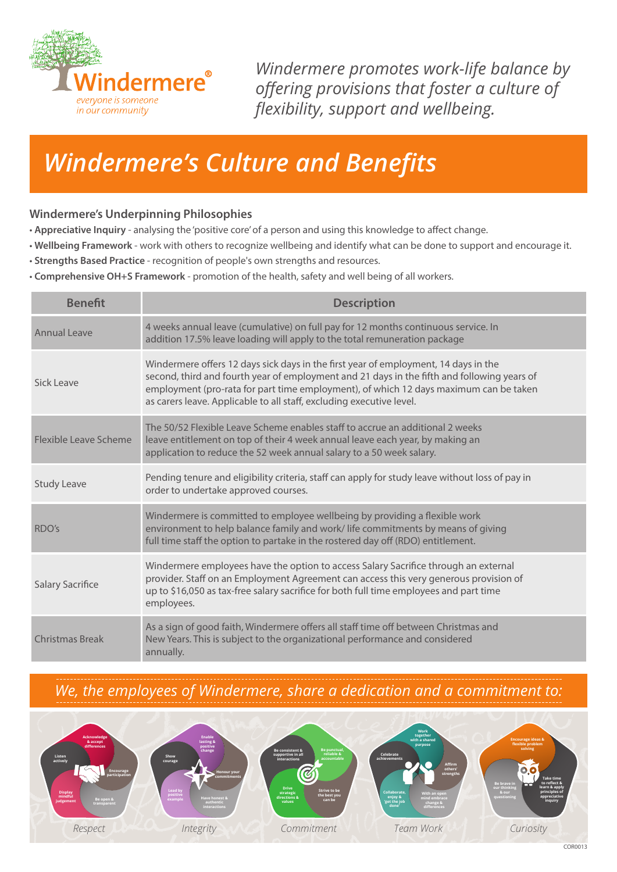

*Windermere promotes work-life balance by offering provisions that foster a culture of flexibility, support and wellbeing.*

## *Windermere's Culture and Benefits*

## **Windermere's Underpinning Philosophies**

- **Appreciative Inquiry** analysing the 'positive core' of a person and using this knowledge to affect change.
- **Wellbeing Framework** work with others to recognize wellbeing and identify what can be done to support and encourage it.
- **Strengths Based Practice** recognition of people's own strengths and resources.
- **Comprehensive OH+S Framework** promotion of the health, safety and well being of all workers.

| <b>Benefit</b>        | <b>Description</b>                                                                                                                                                                                                                                                                                                                                  |
|-----------------------|-----------------------------------------------------------------------------------------------------------------------------------------------------------------------------------------------------------------------------------------------------------------------------------------------------------------------------------------------------|
| Annual Leave          | 4 weeks annual leave (cumulative) on full pay for 12 months continuous service. In<br>addition 17.5% leave loading will apply to the total remuneration package                                                                                                                                                                                     |
| Sick Leave            | Windermere offers 12 days sick days in the first year of employment, 14 days in the<br>second, third and fourth year of employment and 21 days in the fifth and following years of<br>employment (pro-rata for part time employment), of which 12 days maximum can be taken<br>as carers leave. Applicable to all staff, excluding executive level. |
| Flexible Leave Scheme | The 50/52 Flexible Leave Scheme enables staff to accrue an additional 2 weeks<br>leave entitlement on top of their 4 week annual leave each year, by making an<br>application to reduce the 52 week annual salary to a 50 week salary.                                                                                                              |
| <b>Study Leave</b>    | Pending tenure and eligibility criteria, staff can apply for study leave without loss of pay in<br>order to undertake approved courses.                                                                                                                                                                                                             |
| RDO's                 | Windermere is committed to employee wellbeing by providing a flexible work<br>environment to help balance family and work/life commitments by means of giving<br>full time staff the option to partake in the rostered day off (RDO) entitlement.                                                                                                   |
| Salary Sacrifice      | Windermere employees have the option to access Salary Sacrifice through an external<br>provider. Staff on an Employment Agreement can access this very generous provision of<br>up to \$16,050 as tax-free salary sacrifice for both full time employees and part time<br>employees.                                                                |
| Christmas Break       | As a sign of good faith, Windermere offers all staff time off between Christmas and<br>New Years. This is subject to the organizational performance and considered<br>annually.                                                                                                                                                                     |

*We, the employees of Windermere, share a dedication and a commitment to:*